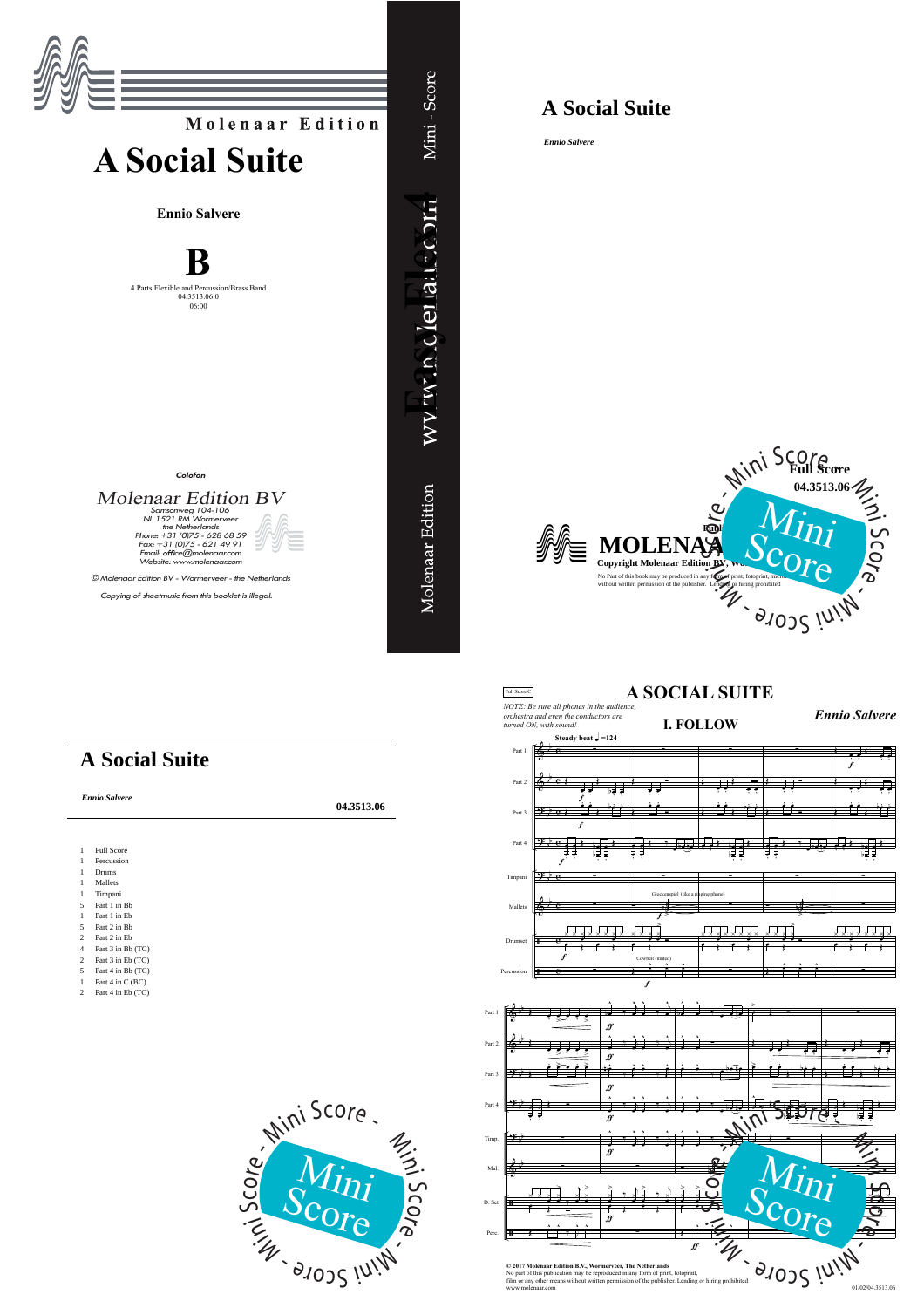

## **A Social Suite**

| <b>Ennio Salvere</b> |                   |            |
|----------------------|-------------------|------------|
|                      |                   | 04.3513.06 |
|                      |                   |            |
|                      |                   |            |
| $\mathbf{1}$         | <b>Full Score</b> |            |
| 1                    | Percussion        |            |
| 1                    | Drums             |            |
| 1                    | Mallets           |            |
| 1                    | Timpani           |            |
| 5                    | Part 1 in Bb      |            |
| $\mathbf{1}$         | Part 1 in Eb      |            |
| 5                    | Part 2 in Bb      |            |
| $\mathfrak{D}$       | Part 2 in Eb      |            |
| 4                    | Part 3 in Bb (TC) |            |
| 2                    | Part 3 in Eb (TC) |            |
| 5                    | Part 4 in Bb (TC) |            |
| $\mathbf{1}$         | Part 4 in C (BC)  |            |
| $\mathfrak{D}$       | Part 4 in Eb (TC) |            |
|                      |                   |            |
|                      |                   |            |



 $\overline{D}$  Se

## **A Social Suite**

**Ennio Salvere** 





 $403510$ 01/02/04.3513.06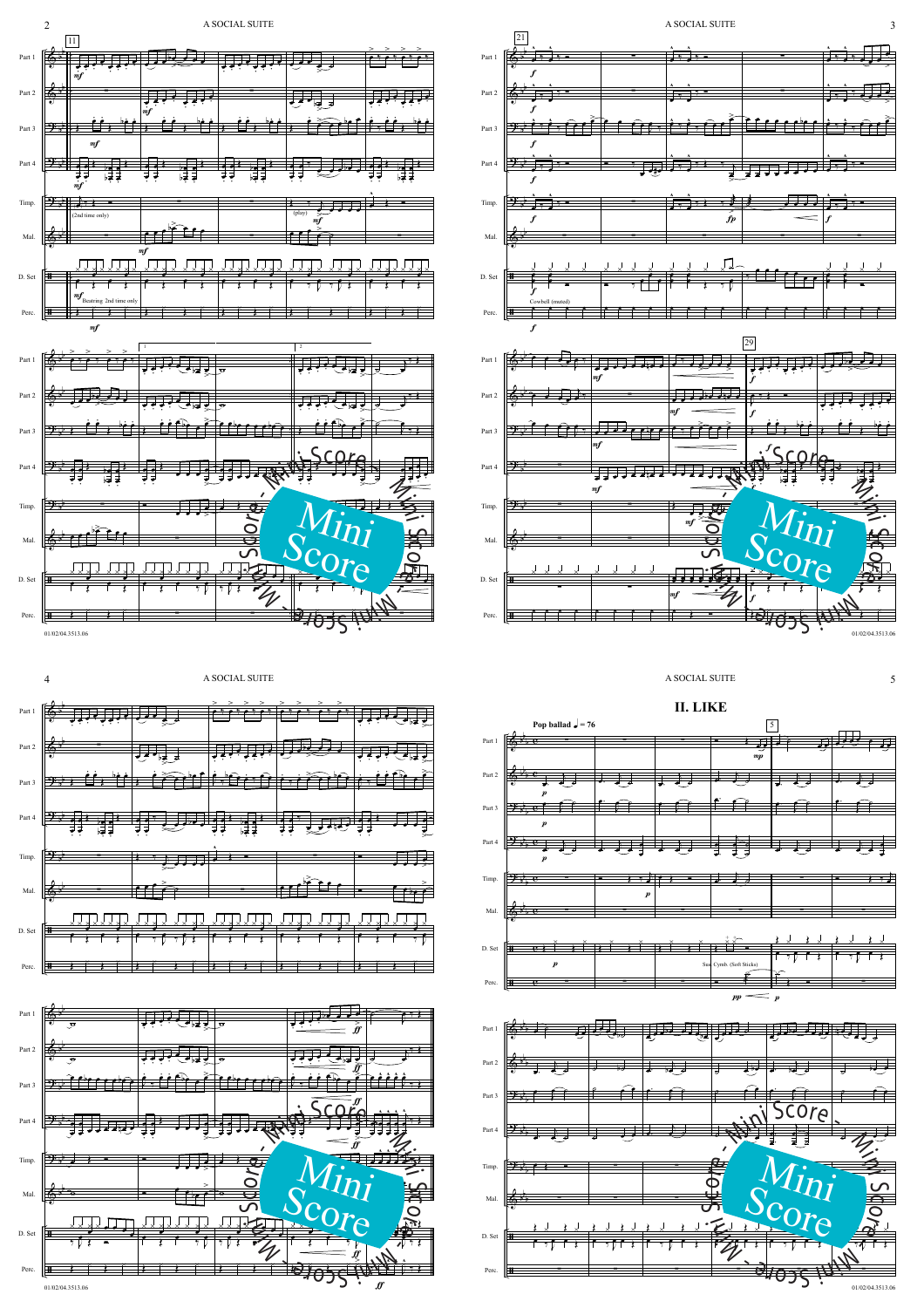



01/02/04.3513.0







A SOCIAL SUITE

Part 1

Part 2

Part 3

Part 4





A SOCIAL SUITE

 $\overline{\mathbf{a}}$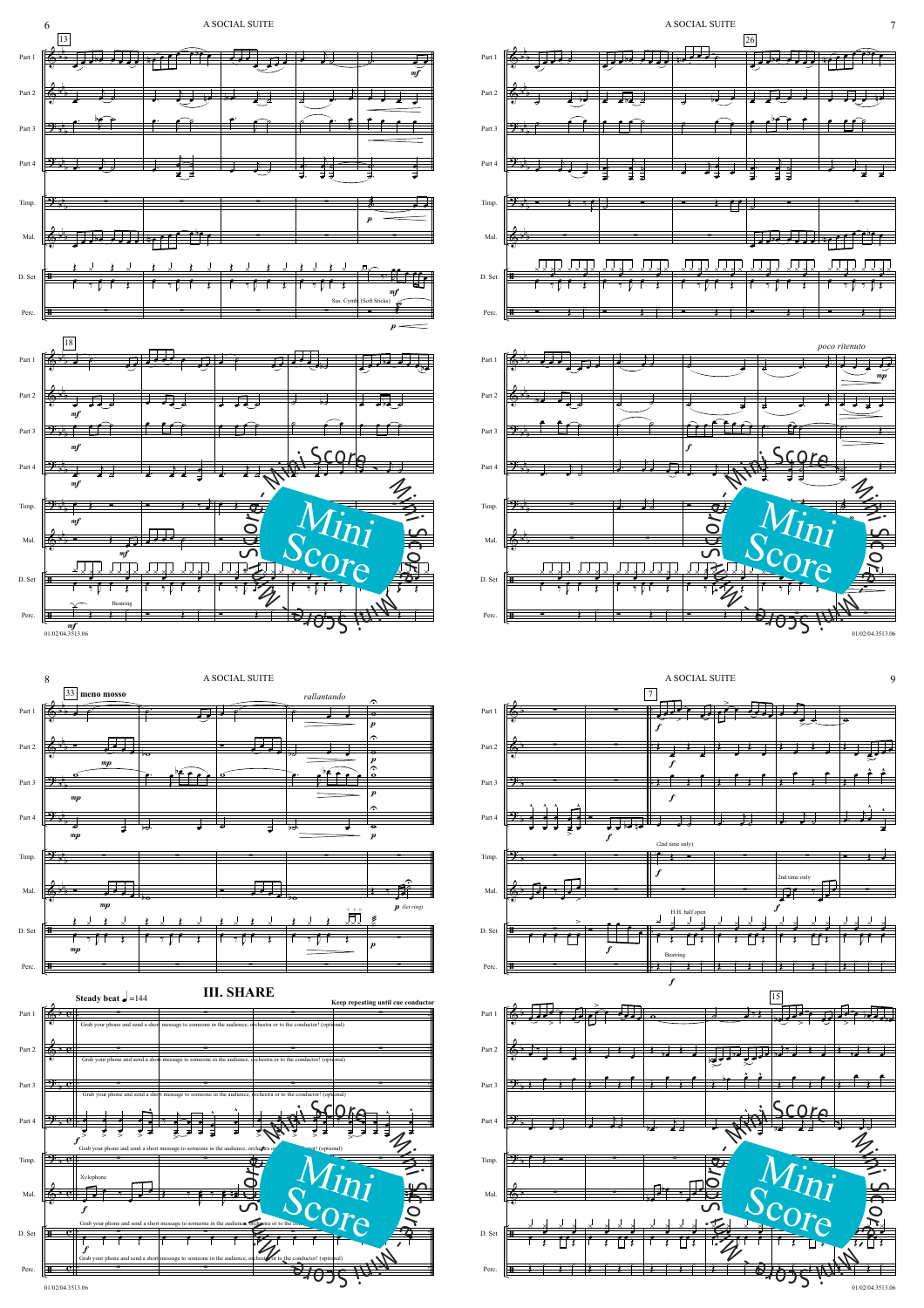





A SOCIAL SUITE

26



01/02/04.3513.0

ರಾಕ್ಷ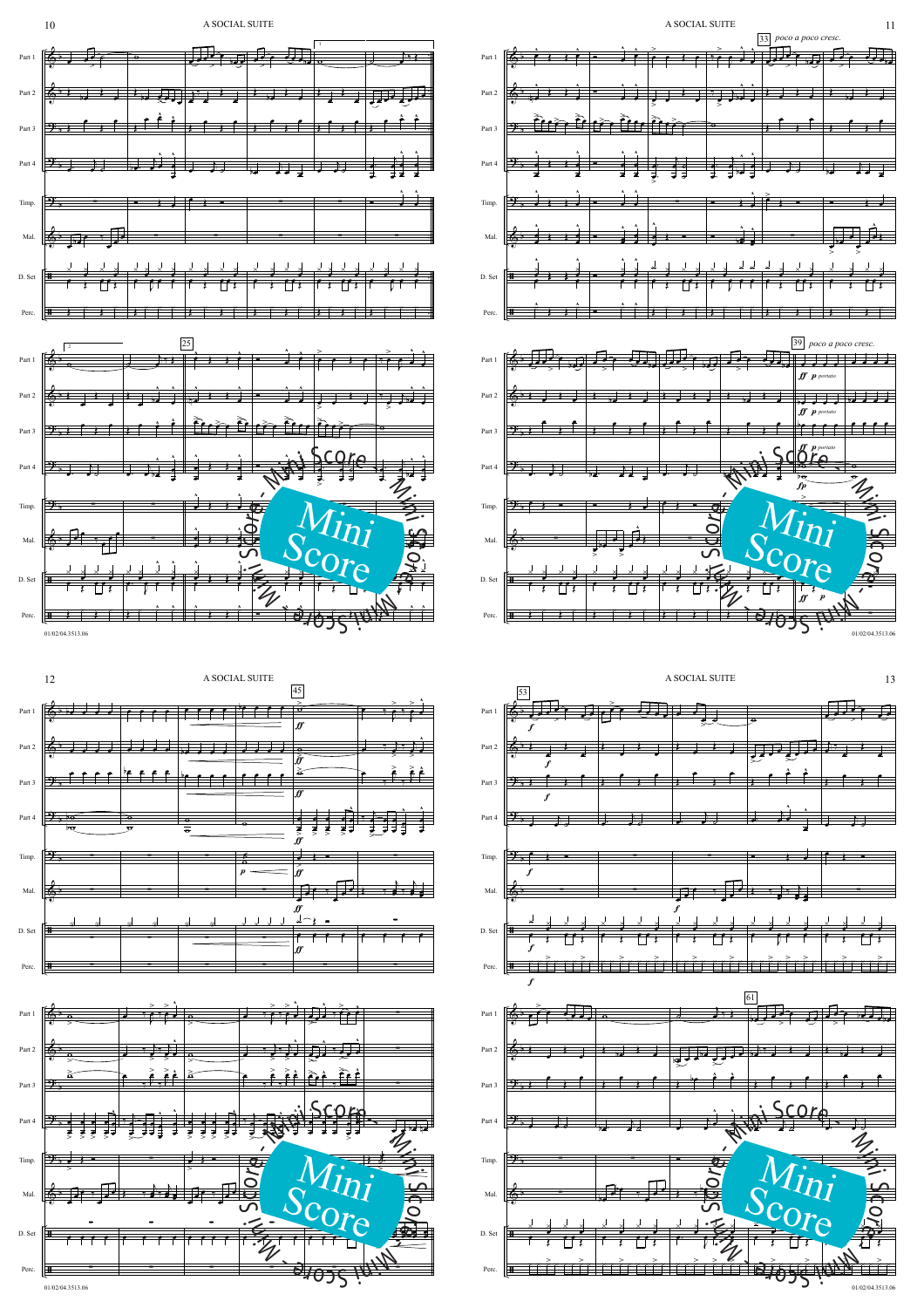







 $\overline{53}$  $\Box$ f∏ 一 n Part الار در ب Tim  $\mathbb{R}^{n}$  :  $\mathbb{R}^{n}$ Mal  $\rightarrow$   $\rightarrow$   $\rightarrow$ D. Set Ħ ننث تثنثا ثثث řřřř Per

A SOCIAL SUITE

 $13$